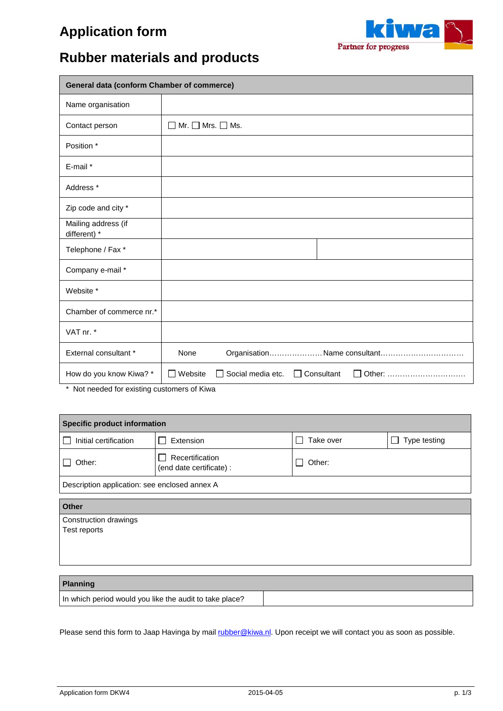## **Application form**



### **Rubber materials and products**

| <b>General data (conform Chamber of commerce)</b> |                                                                                |  |  |  |  |  |
|---------------------------------------------------|--------------------------------------------------------------------------------|--|--|--|--|--|
| Name organisation                                 |                                                                                |  |  |  |  |  |
| Contact person                                    | $\Box$ Mr. $\Box$ Mrs. $\Box$ Ms.                                              |  |  |  |  |  |
| Position *                                        |                                                                                |  |  |  |  |  |
| E-mail *                                          |                                                                                |  |  |  |  |  |
| Address <sup>*</sup>                              |                                                                                |  |  |  |  |  |
| Zip code and city *                               |                                                                                |  |  |  |  |  |
| Mailing address (if<br>different) *               |                                                                                |  |  |  |  |  |
| Telephone / Fax *                                 |                                                                                |  |  |  |  |  |
| Company e-mail *                                  |                                                                                |  |  |  |  |  |
| Website *                                         |                                                                                |  |  |  |  |  |
| Chamber of commerce nr.*                          |                                                                                |  |  |  |  |  |
| VAT nr. *                                         |                                                                                |  |  |  |  |  |
| External consultant *                             | None<br>OrganisationName consultant                                            |  |  |  |  |  |
| How do you know Kiwa? *                           | Social media etc.<br>Website<br>Consultant<br>Other:<br>$\Box$<br>$\mathbf{I}$ |  |  |  |  |  |

\* Not needed for existing customers of Kiwa

| Specific product information                  |                                             |           |              |  |  |
|-----------------------------------------------|---------------------------------------------|-----------|--------------|--|--|
| Initial certification<br>$\mathbf{I}$         | Extension                                   | Take over | Type testing |  |  |
| Other:<br>$\mathsf{L}$                        | Recertification<br>(end date certificate) : | Other:    |              |  |  |
| Description application: see enclosed annex A |                                             |           |              |  |  |
| <b>Other</b>                                  |                                             |           |              |  |  |
| Construction drawings                         |                                             |           |              |  |  |
| Test reports                                  |                                             |           |              |  |  |
|                                               |                                             |           |              |  |  |
|                                               |                                             |           |              |  |  |
|                                               |                                             |           |              |  |  |

#### **Planning**

In which period would you like the audit to take place?

Please send this form to Jaap Havinga by mail [rubber@kiwa.nl.](mailto:rubber@kiwa.nl) Upon receipt we will contact you as soon as possible.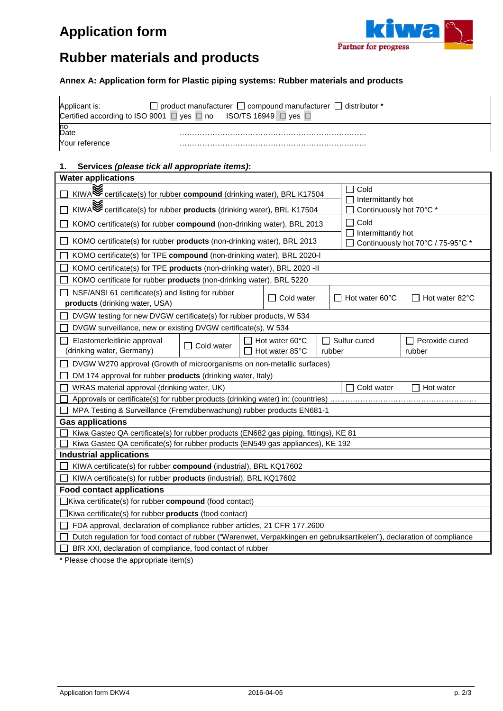# **Application form**



### **Rubber materials and products**

### **Annex A: Application form for Plastic piping systems: Rubber materials and products**

| Applicant is:  | $\Box$ product manufacturer $\Box$ compound manufacturer $\Box$<br>l distributor *<br>Certified according to ISO 9001 $\Box$ yes $\Box$ no ISO/TS 16949 $\Box$ yes $\Box$ |
|----------------|---------------------------------------------------------------------------------------------------------------------------------------------------------------------------|
| no<br>Date     |                                                                                                                                                                           |
| Nour reference |                                                                                                                                                                           |

### **1. Services** *(please tick all appropriate items)***:**

| <b>Water applications</b>                                                                                                                                                                                                                                        |                                                                                                                                   |  |                                  |        |                |                          |
|------------------------------------------------------------------------------------------------------------------------------------------------------------------------------------------------------------------------------------------------------------------|-----------------------------------------------------------------------------------------------------------------------------------|--|----------------------------------|--------|----------------|--------------------------|
| Cold<br>KIWA<br><b>EXAMPLE CONTAINS CONTINUES TO A SET A SET A SET ALMORE SET A SET A SET A SET A SET A SET A SET A SET A SET A SET A SET A SET A SET A SET A SET A SET A SET A SET A SET A SET A SET A SET A SET A SET A SET A SET A </b><br>Intermittantly hot |                                                                                                                                   |  |                                  |        |                |                          |
| KIWA <sup>S</sup> certificate(s) for rubber <b>products</b> (drinking water), BRL K17504<br>Continuously hot 70°C *                                                                                                                                              |                                                                                                                                   |  |                                  |        |                |                          |
|                                                                                                                                                                                                                                                                  | Cold<br>KOMO certificate(s) for rubber compound (non-drinking water), BRL 2013                                                    |  |                                  |        |                |                          |
|                                                                                                                                                                                                                                                                  | Intermittantly hot<br>KOMO certificate(s) for rubber products (non-drinking water), BRL 2013<br>Continuously hot 70°C / 75-95°C * |  |                                  |        |                |                          |
| KOMO certificate(s) for TPE compound (non-drinking water), BRL 2020-I                                                                                                                                                                                            |                                                                                                                                   |  |                                  |        |                |                          |
| KOMO certificate(s) for TPE products (non-drinking water), BRL 2020 - II                                                                                                                                                                                         |                                                                                                                                   |  |                                  |        |                |                          |
| KOMO certificate for rubber products (non-drinking water), BRL 5220                                                                                                                                                                                              |                                                                                                                                   |  |                                  |        |                |                          |
| NSF/ANSI 61 certificate(s) and listing for rubber<br>products (drinking water, USA)                                                                                                                                                                              |                                                                                                                                   |  | $\Box$ Cold water                |        | Hot water 60°C | Hot water 82°C           |
| DVGW testing for new DVGW certificate(s) for rubber products, W 534                                                                                                                                                                                              |                                                                                                                                   |  |                                  |        |                |                          |
| DVGW surveillance, new or existing DVGW certificate(s), W 534                                                                                                                                                                                                    |                                                                                                                                   |  |                                  |        |                |                          |
| Elastomerleitlinie approval<br>(drinking water, Germany)                                                                                                                                                                                                         | Cold water                                                                                                                        |  | Hot water 60°C<br>Hot water 85°C | rubber | Sulfur cured   | Peroxide cured<br>rubber |
| DVGW W270 approval (Growth of microorganisms on non-metallic surfaces)                                                                                                                                                                                           |                                                                                                                                   |  |                                  |        |                |                          |
| DM 174 approval for rubber products (drinking water, Italy)                                                                                                                                                                                                      |                                                                                                                                   |  |                                  |        |                |                          |
| Cold water<br>WRAS material approval (drinking water, UK)<br>Hot water                                                                                                                                                                                           |                                                                                                                                   |  |                                  |        |                |                          |
| Approvals or certificate(s) for rubber products (drinking water) in: (countries)                                                                                                                                                                                 |                                                                                                                                   |  |                                  |        |                |                          |
| MPA Testing & Surveillance (Fremdüberwachung) rubber products EN681-1                                                                                                                                                                                            |                                                                                                                                   |  |                                  |        |                |                          |
| <b>Gas applications</b>                                                                                                                                                                                                                                          |                                                                                                                                   |  |                                  |        |                |                          |
| Kiwa Gastec QA certificate(s) for rubber products (EN682 gas piping, fittings), KE 81                                                                                                                                                                            |                                                                                                                                   |  |                                  |        |                |                          |
| Kiwa Gastec QA certificate(s) for rubber products (EN549 gas appliances), KE 192                                                                                                                                                                                 |                                                                                                                                   |  |                                  |        |                |                          |
| <b>Industrial applications</b>                                                                                                                                                                                                                                   |                                                                                                                                   |  |                                  |        |                |                          |
| KIWA certificate(s) for rubber compound (industrial), BRL KQ17602                                                                                                                                                                                                |                                                                                                                                   |  |                                  |        |                |                          |
| KIWA certificate(s) for rubber products (industrial), BRL KQ17602                                                                                                                                                                                                |                                                                                                                                   |  |                                  |        |                |                          |
| <b>Food contact applications</b>                                                                                                                                                                                                                                 |                                                                                                                                   |  |                                  |        |                |                          |
| $\exists$ Kiwa certificate(s) for rubber <b>compound</b> (food contact)                                                                                                                                                                                          |                                                                                                                                   |  |                                  |        |                |                          |
| Kiwa certificate(s) for rubber products (food contact)                                                                                                                                                                                                           |                                                                                                                                   |  |                                  |        |                |                          |
| FDA approval, declaration of compliance rubber articles, 21 CFR 177.2600                                                                                                                                                                                         |                                                                                                                                   |  |                                  |        |                |                          |
| Dutch regulation for food contact of rubber ("Warenwet, Verpakkingen en gebruiksartikelen"), declaration of compliance                                                                                                                                           |                                                                                                                                   |  |                                  |        |                |                          |
| BfR XXI, declaration of compliance, food contact of rubber                                                                                                                                                                                                       |                                                                                                                                   |  |                                  |        |                |                          |

\* Please choose the appropriate item(s)